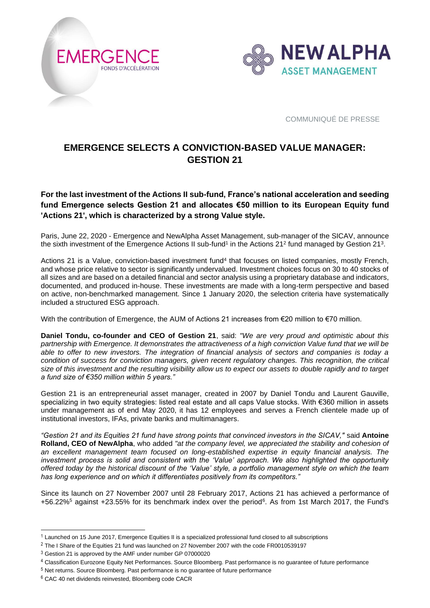



# **EMERGENCE SELECTS A CONVICTION-BASED VALUE MANAGER: GESTION 21**

## **For the last investment of the Actions II sub-fund, France's national acceleration and seeding fund Emergence selects Gestion 21 and allocates €50 million to its European Equity fund 'Actions 21', which is characterized by a strong Value style.**

Paris, June 22, 2020 - Emergence and NewAlpha Asset Management, sub-manager of the SICAV, announce the sixth investment of the Emergence Actions II sub-fund<sup>1</sup> in the Actions 21<sup>2</sup> fund managed by Gestion 21<sup>3</sup>.

Actions 21 is a Value, conviction-based investment fund<sup>4</sup> that focuses on listed companies, mostly French, and whose price relative to sector is significantly undervalued. Investment choices focus on 30 to 40 stocks of all sizes and are based on a detailed financial and sector analysis using a proprietary database and indicators, documented, and produced in-house. These investments are made with a long-term perspective and based on active, non-benchmarked management. Since 1 January 2020, the selection criteria have systematically included a structured ESG approach.

With the contribution of Emergence, the AUM of Actions 21 increases from €20 million to €70 million.

**Daniel Tondu, co-founder and CEO of Gestion 21**, said: *"We are very proud and optimistic about this partnership with Emergence. It demonstrates the attractiveness of a high conviction Value fund that we will be able to offer to new investors. The integration of financial analysis of sectors and companies is today a condition of success for conviction managers, given recent regulatory changes. This recognition, the critical*  size of this investment and the resulting visibility allow us to expect our assets to double rapidly and to target *a fund size of €350 million within 5 years."*

Gestion 21 is an entrepreneurial asset manager, created in 2007 by Daniel Tondu and Laurent Gauville, specializing in two equity strategies: listed real estate and all caps Value stocks. With €360 million in assets under management as of end May 2020, it has 12 employees and serves a French clientele made up of institutional investors, IFAs, private banks and multimanagers.

*"Gestion 21 and its Equities 21 fund have strong points that convinced investors in the SICAV,"* said **Antoine Rolland, CEO of NewAlpha**, who added *"at the company level, we appreciated the stability and cohesion of an excellent management team focused on long-established expertise in equity financial analysis. The investment process is solid and consistent with the 'Value' approach. We also highlighted the opportunity offered today by the historical discount of the 'Value' style, a portfolio management style on which the team has long experience and on which it differentiates positively from its competitors."*

Since its launch on 27 November 2007 until 28 February 2017, Actions 21 has achieved a performance of +56.22%<sup>5</sup> against +23.55% for its benchmark index over the period<sup>6</sup>. As from 1st March 2017, the Fund's

 $1$  Launched on 15 June 2017, Emergence Equities II is a specialized professional fund closed to all subscriptions

<sup>&</sup>lt;sup>2</sup> The I Share of the Equities 21 fund was launched on 27 November 2007 with the code FR0010539197

<sup>3</sup> Gestion 21 is approved by the AMF under number GP 07000020

<sup>4</sup> Classification Eurozone Equity Net Performances. Source Bloomberg. Past performance is no guarantee of future performance

<sup>5</sup> Net returns. Source Bloomberg. Past performance is no guarantee of future performance

<sup>6</sup> CAC 40 net dividends reinvested, Bloomberg code CACR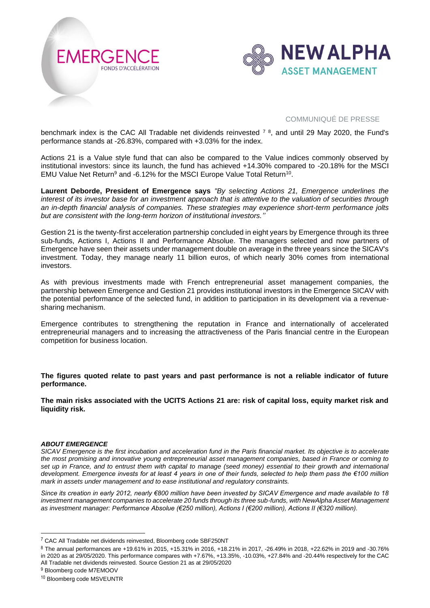



benchmark index is the CAC All Tradable net dividends reinvested  $7\,$ <sup>8</sup>, and until 29 May 2020, the Fund's performance stands at -26.83%, compared with +3.03% for the index.

Actions 21 is a Value style fund that can also be compared to the Value indices commonly observed by institutional investors: since its launch, the fund has achieved +14.30% compared to -20.18% for the MSCI EMU Value Net Return<sup>9</sup> and -6.12% for the MSCI Europe Value Total Return<sup>10</sup>.

**Laurent Deborde, President of Emergence says** *"By selecting Actions 21, Emergence underlines the interest of its investor base for an investment approach that is attentive to the valuation of securities through an in-depth financial analysis of companies. These strategies may experience short-term performance jolts but are consistent with the long-term horizon of institutional investors.''*

Gestion 21 is the twenty-first acceleration partnership concluded in eight years by Emergence through its three sub-funds, Actions I, Actions II and Performance Absolue. The managers selected and now partners of Emergence have seen their assets under management double on average in the three years since the SICAV's investment. Today, they manage nearly 11 billion euros, of which nearly 30% comes from international investors.

As with previous investments made with French entrepreneurial asset management companies, the partnership between Emergence and Gestion 21 provides institutional investors in the Emergence SICAV with the potential performance of the selected fund, in addition to participation in its development via a revenuesharing mechanism.

Emergence contributes to strengthening the reputation in France and internationally of accelerated entrepreneurial managers and to increasing the attractiveness of the Paris financial centre in the European competition for business location.

**The figures quoted relate to past years and past performance is not a reliable indicator of future performance.**

**The main risks associated with the UCITS Actions 21 are: risk of capital loss, equity market risk and liquidity risk.**

### *ABOUT EMERGENCE*

*SICAV Emergence is the first incubation and acceleration fund in the Paris financial market. Its objective is to accelerate the most promising and innovative young entrepreneurial asset management companies, based in France or coming to set up in France, and to entrust them with capital to manage (seed money) essential to their growth and international development. Emergence invests for at least 4 years in one of their funds, selected to help them pass the €100 million mark in assets under management and to ease institutional and regulatory constraints.* 

*Since its creation in early 2012, nearly €800 million have been invested by SICAV Emergence and made available to 18*  investment management companies to accelerate 20 funds through its three sub-funds, with NewAlpha Asset Management *as investment manager: Performance Absolue (€250 million), Actions I (€200 million), Actions II (€320 million).*

<sup>9</sup> Bloomberg code M7EMOOV

<sup>7</sup> CAC All Tradable net dividends reinvested, Bloomberg code SBF250NT

<sup>8</sup> The annual performances are +19.61% in 2015, +15.31% in 2016, +18.21% in 2017, -26.49% in 2018, +22.62% in 2019 and -30.76% in 2020 as at 29/05/2020. This performance compares with +7.67%, +13.35%, -10.03%, +27.84% and -20.44% respectively for the CAC All Tradable net dividends reinvested. Source Gestion 21 as at 29/05/2020

<sup>10</sup> Bloomberg code MSVEUNTR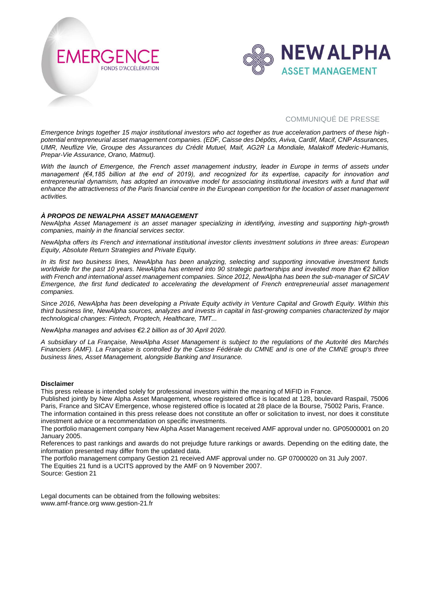



*Emergence brings together 15 major institutional investors who act together as true acceleration partners of these highpotential entrepreneurial asset management companies. (EDF, Caisse des Dépôts, Aviva, Cardif, Macif, CNP Assurances, UMR, Neuflize Vie, Groupe des Assurances du Crédit Mutuel, Maif, AG2R La Mondiale, Malakoff Mederic-Humanis, Prepar-Vie Assurance, Orano, Matmut).*

*With the launch of Emergence, the French asset management industry, leader in Europe in terms of assets under management (€4,185 billion at the end of 2019), and recognized for its expertise, capacity for innovation and entrepreneurial dynamism, has adopted an innovative model for associating institutional investors with a fund that will enhance the attractiveness of the Paris financial centre in the European competition for the location of asset management activities.*

#### *À PROPOS DE NEWALPHA ASSET MANAGEMENT*

*NewAlpha Asset Management is an asset manager specializing in identifying, investing and supporting high-growth companies, mainly in the financial services sector.*

*NewAlpha offers its French and international institutional investor clients investment solutions in three areas: European Equity, Absolute Return Strategies and Private Equity.*

*In its first two business lines, NewAlpha has been analyzing, selecting and supporting innovative investment funds worldwide for the past 10 years. NewAlpha has entered into 90 strategic partnerships and invested more than €2 billion with French and international asset management companies. Since 2012, NewAlpha has been the sub-manager of SICAV Emergence, the first fund dedicated to accelerating the development of French entrepreneurial asset management companies.*

*Since 2016, NewAlpha has been developing a Private Equity activity in Venture Capital and Growth Equity. Within this third business line, NewAlpha sources, analyzes and invests in capital in fast-growing companies characterized by major technological changes: Fintech, Proptech, Healthcare, TMT...*

*NewAlpha manages and advises €2.2 billion as of 30 April 2020.*

*A subsidiary of La Française, NewAlpha Asset Management is subject to the regulations of the Autorité des Marchés Financiers (AMF). La Française is controlled by the Caisse Fédérale du CMNE and is one of the CMNE group's three business lines, Asset Management, alongside Banking and Insurance.*

#### **Disclaimer**

This press release is intended solely for professional investors within the meaning of MiFID in France.

Published jointly by New Alpha Asset Management, whose registered office is located at 128, boulevard Raspail, 75006 Paris, France and SICAV Emergence, whose registered office is located at 28 place de la Bourse, 75002 Paris, France. The information contained in this press release does not constitute an offer or solicitation to invest, nor does it constitute investment advice or a recommendation on specific investments.

The portfolio management company New Alpha Asset Management received AMF approval under no. GP05000001 on 20 January 2005.

References to past rankings and awards do not prejudge future rankings or awards. Depending on the editing date, the information presented may differ from the updated data.

The portfolio management company Gestion 21 received AMF approval under no. GP 07000020 on 31 July 2007. The Equities 21 fund is a UCITS approved by the AMF on 9 November 2007.

Source: Gestion 21

Legal documents can be obtained from the following websites: www.amf-france.org www.gestion-21.fr